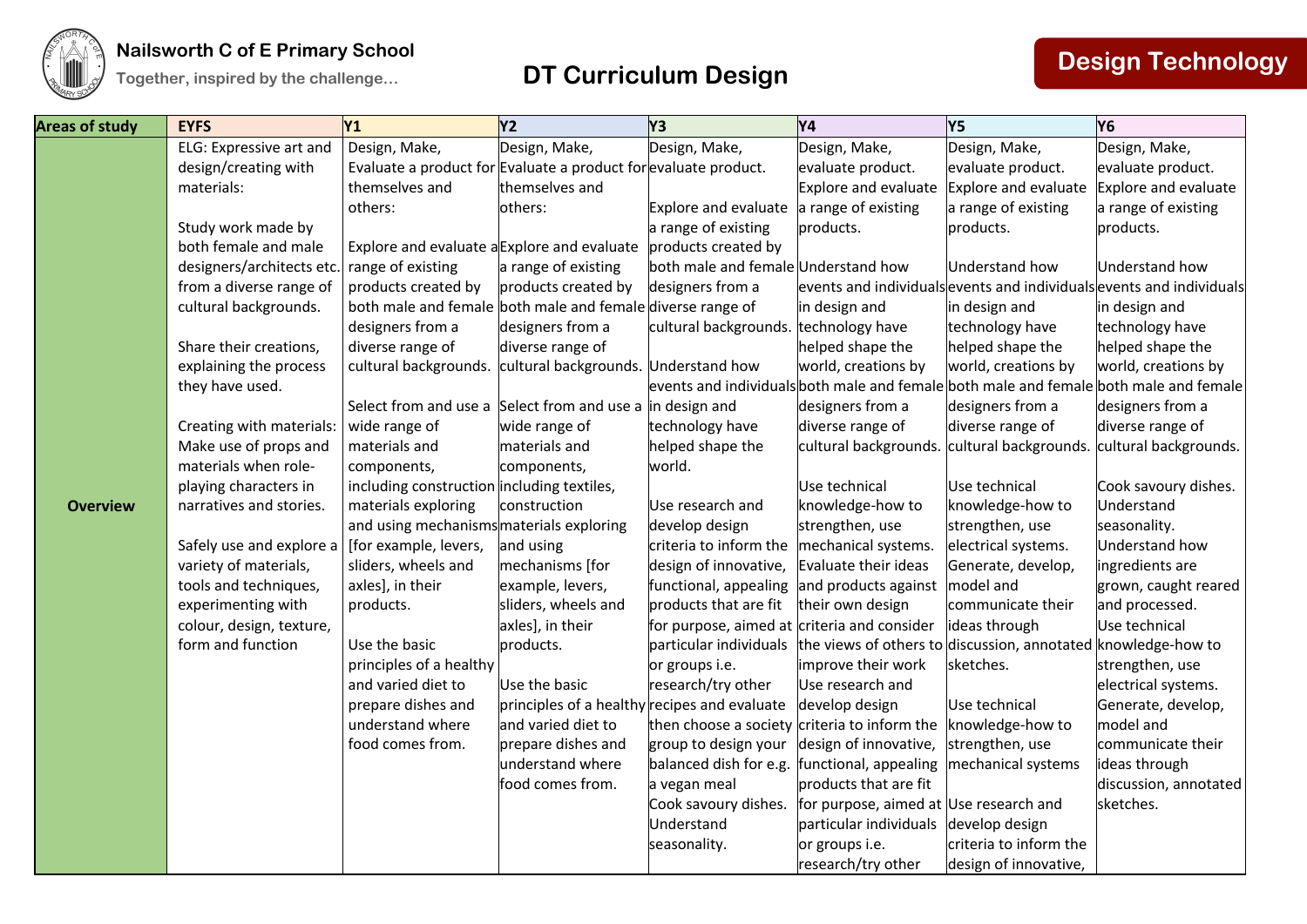

## **The EXECUTE CONSTRESS IN The CONSTRESS IN THE EXECUTION OF EXECUTION CONSTRESS IN THE EXECUTION TOGETHS TOGETHS TOGETHS TOGETHS TOGETHS TOGETHS TOGETHS TOGETHS TO <b>DESIGN TECHNOLOGY**

| <b>Areas of study</b> | <b>EYFS</b>                                        | <b>Y1</b>                                                       | Y2                                           | Y3                                           | Y4                                                                | Y5                                     | <b>Y6</b>                                                                             |
|-----------------------|----------------------------------------------------|-----------------------------------------------------------------|----------------------------------------------|----------------------------------------------|-------------------------------------------------------------------|----------------------------------------|---------------------------------------------------------------------------------------|
|                       | ELG: Expressive art and                            | Design, Make,                                                   | Design, Make,                                | Design, Make,                                | Design, Make,                                                     | Design, Make,                          | Design, Make,                                                                         |
|                       | design/creating with                               | Evaluate a product for Evaluate a product for evaluate product. |                                              |                                              | evaluate product.                                                 | evaluate product.                      | evaluate product.                                                                     |
|                       | materials:                                         | themselves and                                                  | themselves and                               |                                              | Explore and evaluate                                              | Explore and evaluate                   | Explore and evaluate                                                                  |
|                       |                                                    | others:                                                         | others:                                      | <b>Explore and evaluate</b>                  | a range of existing                                               | a range of existing                    | a range of existing                                                                   |
|                       | Study work made by                                 |                                                                 |                                              | a range of existing                          | products.                                                         | products.                              | products.                                                                             |
|                       | both female and male                               | Explore and evaluate a Explore and evaluate                     |                                              | products created by                          |                                                                   |                                        |                                                                                       |
|                       | designers/architects etc. range of existing        |                                                                 | a range of existing                          | both male and female Understand how          |                                                                   | <b>Understand how</b>                  | Understand how                                                                        |
|                       | from a diverse range of                            | products created by                                             | products created by                          | designers from a                             |                                                                   |                                        | events and individuals events and individuals events and individuals                  |
|                       | cultural backgrounds.                              | both male and female both male and female diverse range of      |                                              |                                              | in design and                                                     | in design and                          | in design and                                                                         |
|                       |                                                    | designers from a                                                | designers from a                             | cultural backgrounds. technology have        |                                                                   | technology have                        | technology have                                                                       |
|                       | Share their creations,                             | diverse range of                                                | diverse range of                             |                                              | helped shape the                                                  | helped shape the                       | helped shape the                                                                      |
|                       | explaining the process                             | cultural backgrounds.                                           | cultural backgrounds. Understand how         |                                              | world, creations by                                               | world, creations by                    | world, creations by                                                                   |
|                       | they have used.                                    |                                                                 |                                              |                                              |                                                                   |                                        | events and individuals both male and female both male and female both male and female |
|                       |                                                    | Select from and use a Select from and use a in design and       |                                              |                                              | designers from a                                                  | designers from a                       | designers from a                                                                      |
|                       | Creating with materials:                           | wide range of                                                   | wide range of                                | technology have                              | diverse range of                                                  | diverse range of                       | diverse range of                                                                      |
|                       | Make use of props and                              | materials and                                                   | materials and                                | helped shape the                             | cultural backgrounds. cultural backgrounds. cultural backgrounds. |                                        |                                                                                       |
|                       | materials when role-                               | components,                                                     | components,                                  | world.                                       |                                                                   |                                        |                                                                                       |
|                       | playing characters in                              | including construction including textiles,                      |                                              |                                              | Use technical                                                     | Use technical                          | Cook savoury dishes.                                                                  |
| <b>Overview</b>       | narratives and stories.                            | materials exploring                                             | construction                                 | Use research and                             | knowledge-how to                                                  | knowledge-how to                       | Understand                                                                            |
|                       |                                                    | and using mechanisms materials exploring                        |                                              | develop design                               | strengthen, use                                                   | strengthen, use                        | seasonality.                                                                          |
|                       | Safely use and explore a $ $ [for example, levers, |                                                                 | and using                                    | criteria to inform the                       | mechanical systems.                                               | electrical systems.                    | Understand how                                                                        |
|                       | variety of materials,                              | sliders, wheels and                                             | mechanisms [for                              | design of innovative,                        | Evaluate their ideas                                              | Generate, develop,                     | ingredients are                                                                       |
|                       | tools and techniques,                              | axles], in their                                                | example, levers,                             | functional, appealing                        | and products against                                              | model and                              | grown, caught reared                                                                  |
|                       | experimenting with                                 | products.                                                       | sliders, wheels and                          | products that are fit                        | their own design                                                  | communicate their                      | and processed.                                                                        |
|                       | colour, design, texture,                           |                                                                 | axles], in their                             | for purpose, aimed at criteria and consider  |                                                                   | ideas through                          | Use technical                                                                         |
|                       | form and function                                  | Use the basic                                                   | products.                                    | particular individuals                       | the views of others to                                            | discussion, annotated knowledge-how to |                                                                                       |
|                       |                                                    | principles of a healthy                                         |                                              | or groups i.e.                               | improve their work                                                | sketches.                              | strengthen, use                                                                       |
|                       |                                                    | and varied diet to                                              | Use the basic                                | research/try other                           | Use research and                                                  |                                        | electrical systems.                                                                   |
|                       |                                                    | prepare dishes and                                              | principles of a healthy recipes and evaluate |                                              | develop design                                                    | Use technical                          | Generate, develop,                                                                    |
|                       |                                                    | understand where                                                | and varied diet to                           | then choose a society                        | criteria to inform the                                            | knowledge-how to                       | model and                                                                             |
|                       |                                                    | food comes from.                                                | prepare dishes and                           | group to design your                         | design of innovative,                                             | strengthen, use                        | communicate their                                                                     |
|                       |                                                    |                                                                 | understand where                             | balanced dish for e.g. functional, appealing |                                                                   | mechanical systems                     | ideas through                                                                         |
|                       |                                                    |                                                                 | food comes from.                             | a vegan meal                                 | products that are fit                                             |                                        | discussion, annotated                                                                 |
|                       |                                                    |                                                                 |                                              | Cook savoury dishes.                         | for purpose, aimed at Use research and                            |                                        | sketches.                                                                             |
|                       |                                                    |                                                                 |                                              | Understand                                   | particular individuals                                            | develop design                         |                                                                                       |
|                       |                                                    |                                                                 |                                              | seasonality.                                 | or groups i.e.                                                    | criteria to inform the                 |                                                                                       |
|                       |                                                    |                                                                 |                                              |                                              | research/try other                                                | design of innovative,                  |                                                                                       |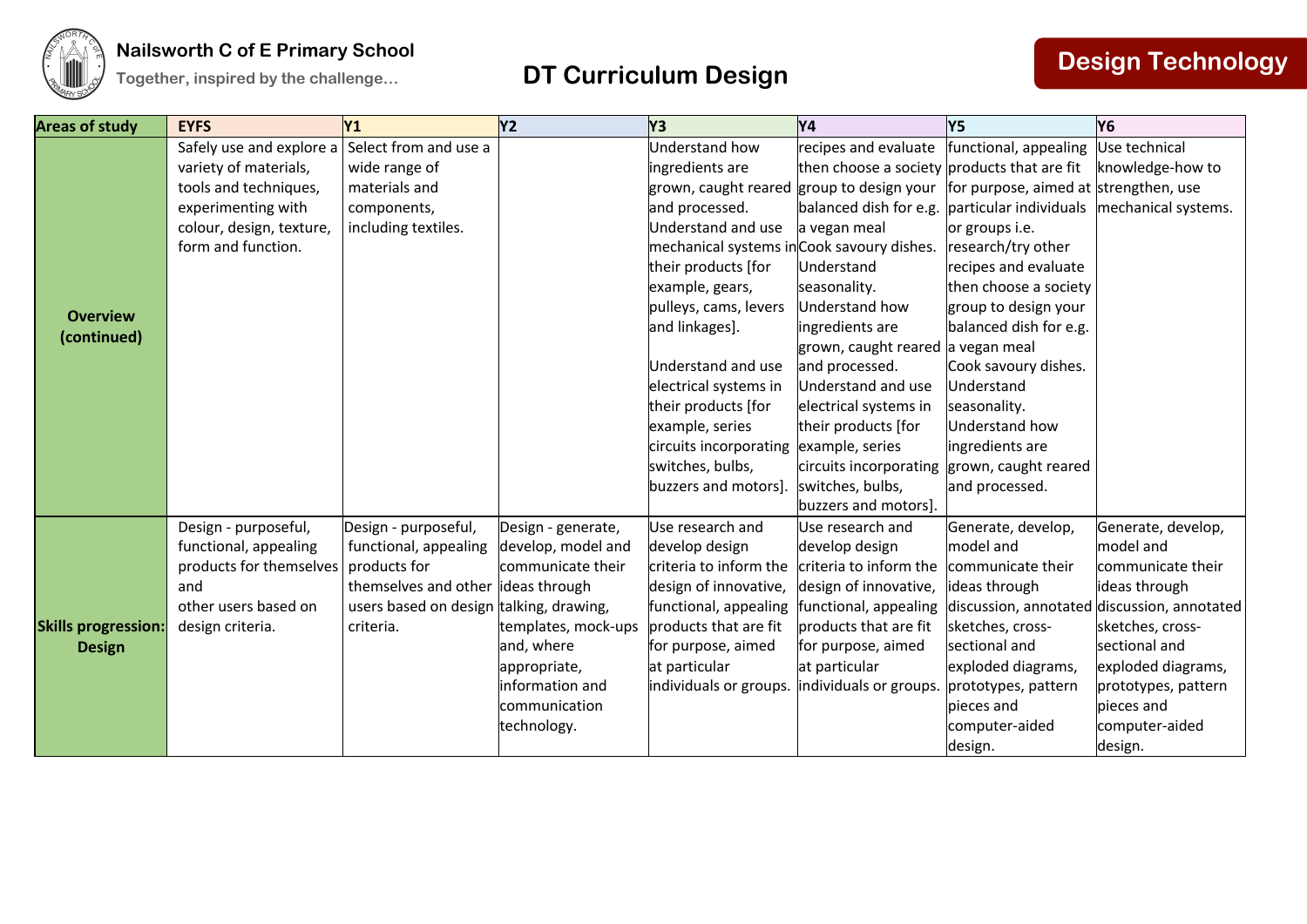

| <b>Areas of study</b>                       | <b>EYFS</b>              | Y1                                      | <b>Y2</b>           | Y3                                         | <b>Y4</b>                                   | Y5                                         | Y <sub>6</sub>        |
|---------------------------------------------|--------------------------|-----------------------------------------|---------------------|--------------------------------------------|---------------------------------------------|--------------------------------------------|-----------------------|
|                                             | Safely use and explore a | Select from and use a                   |                     | <b>Understand how</b>                      | recipes and evaluate                        | functional, appealing                      | Use technical         |
|                                             | variety of materials,    | wide range of                           |                     | ingredients are                            | then choose a society products that are fit |                                            | knowledge-how to      |
|                                             | tools and techniques,    | materials and                           |                     | grown, caught reared group to design your  |                                             | for purpose, aimed at strengthen, use      |                       |
|                                             | experimenting with       | components,                             |                     | and processed.                             | balanced dish for e.g.                      | particular individuals mechanical systems. |                       |
|                                             | colour, design, texture, | including textiles.                     |                     | Understand and use                         | a vegan meal                                | or groups i.e.                             |                       |
|                                             | form and function.       |                                         |                     | mechanical systems in Cook savoury dishes. |                                             | research/try other                         |                       |
|                                             |                          |                                         |                     | their products [for                        | Understand                                  | recipes and evaluate                       |                       |
|                                             |                          |                                         |                     | example, gears,                            | seasonality.                                | then choose a society                      |                       |
| <b>Overview</b>                             |                          |                                         |                     | pulleys, cams, levers                      | Understand how                              | group to design your                       |                       |
| (continued)                                 |                          |                                         |                     | and linkages].                             | ingredients are                             | balanced dish for e.g.                     |                       |
|                                             |                          |                                         |                     |                                            | grown, caught reared a vegan meal           |                                            |                       |
|                                             |                          |                                         |                     | Understand and use                         | and processed.                              | Cook savoury dishes.                       |                       |
|                                             |                          |                                         |                     | electrical systems in                      | Understand and use                          | Understand                                 |                       |
|                                             |                          |                                         |                     | their products [for                        | electrical systems in                       | seasonality.                               |                       |
|                                             |                          |                                         |                     | example, series                            | their products [for                         | Understand how                             |                       |
|                                             |                          |                                         |                     | circuits incorporating                     | example, series                             | ingredients are                            |                       |
|                                             |                          |                                         |                     | switches, bulbs,                           | circuits incorporating                      | grown, caught reared                       |                       |
|                                             |                          |                                         |                     | buzzers and motors].                       | switches, bulbs,                            | and processed.                             |                       |
|                                             |                          |                                         |                     |                                            | buzzers and motors].                        |                                            |                       |
|                                             | Design - purposeful,     | Design - purposeful,                    | Design - generate,  | Use research and                           | Use research and                            | Generate, develop,                         | Generate, develop,    |
|                                             | functional, appealing    | functional, appealing                   | develop, model and  | develop design                             | develop design                              | model and                                  | model and             |
| <b>Skills progression:</b><br><b>Design</b> | products for themselves  | products for                            | communicate their   | criteria to inform the                     | criteria to inform the                      | communicate their                          | communicate their     |
|                                             | and                      | themselves and other                    | ideas through       | design of innovative,                      | design of innovative,                       | ideas through                              | ideas through         |
|                                             | other users based on     | users based on design talking, drawing, |                     | functional, appealing                      | functional, appealing                       | discussion, annotated                      | discussion, annotated |
|                                             | design criteria.         | criteria.                               | templates, mock-ups | products that are fit                      | products that are fit                       | sketches, cross-                           | sketches, cross-      |
|                                             |                          |                                         | and, where          | for purpose, aimed                         | for purpose, aimed                          | sectional and                              | sectional and         |
|                                             |                          |                                         | appropriate,        | at particular                              | at particular                               | exploded diagrams,                         | exploded diagrams,    |
|                                             |                          |                                         | information and     | individuals or groups.                     | individuals or groups.                      | prototypes, pattern                        | prototypes, pattern   |
|                                             |                          |                                         | communication       |                                            |                                             | pieces and                                 | pieces and            |
|                                             |                          |                                         | technology.         |                                            |                                             | computer-aided                             | computer-aided        |
|                                             |                          |                                         |                     |                                            |                                             | design.                                    | design.               |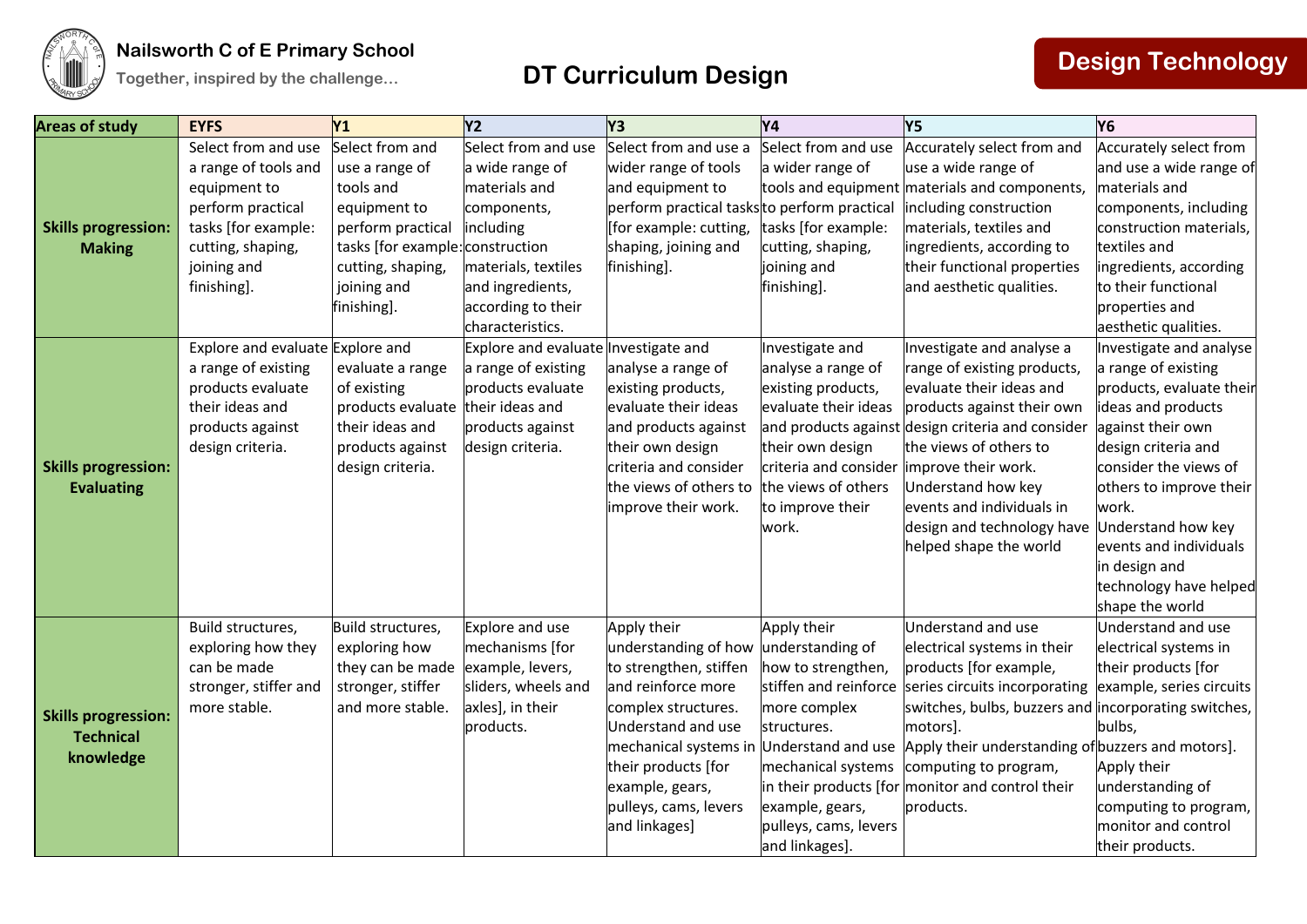

| <b>Areas of study</b>                                       | <b>EYFS</b>                                 | Y <sub>1</sub>                    | <b>Y2</b>                              | Y <sub>3</sub>                                | <b>Y4</b>                                 | Y5                                                     | <b>Y6</b>                                         |
|-------------------------------------------------------------|---------------------------------------------|-----------------------------------|----------------------------------------|-----------------------------------------------|-------------------------------------------|--------------------------------------------------------|---------------------------------------------------|
|                                                             | Select from and use<br>a range of tools and | Select from and<br>use a range of | Select from and use<br>a wide range of | Select from and use a<br>wider range of tools | Select from and use<br>a wider range of   | Accurately select from and<br>use a wide range of      | Accurately select from<br>and use a wide range of |
|                                                             | equipment to                                | tools and                         | materials and                          | and equipment to                              |                                           | tools and equipment materials and components,          | materials and                                     |
|                                                             | perform practical                           | equipment to                      | components,                            | perform practical tasks to perform practical  |                                           | including construction                                 | components, including                             |
| <b>Skills progression:</b>                                  | tasks [for example:                         | perform practical                 | including                              | [for example: cutting,                        | tasks [for example:                       | materials, textiles and                                | construction materials,                           |
| <b>Making</b>                                               | cutting, shaping,                           | tasks [for example:               | construction                           | shaping, joining and                          | cutting, shaping,                         | ingredients, according to                              | textiles and                                      |
|                                                             | joining and                                 | cutting, shaping,                 | materials, textiles                    | finishing].                                   | joining and                               | their functional properties                            | ingredients, according                            |
|                                                             | finishing].                                 | joining and                       | and ingredients,                       |                                               | finishing].                               | and aesthetic qualities.                               | to their functional                               |
|                                                             |                                             | finishing].                       | according to their                     |                                               |                                           |                                                        | properties and                                    |
|                                                             |                                             |                                   | characteristics.                       |                                               |                                           |                                                        | aesthetic qualities.                              |
|                                                             | Explore and evaluate Explore and            |                                   | Explore and evaluate Investigate and   |                                               | Investigate and                           | Investigate and analyse a                              | Investigate and analyse                           |
|                                                             | a range of existing                         | evaluate a range                  | a range of existing                    | analyse a range of                            | analyse a range of                        | range of existing products,                            | a range of existing                               |
|                                                             | products evaluate                           | of existing                       | products evaluate                      | existing products,                            | existing products,                        | evaluate their ideas and                               | products, evaluate their                          |
|                                                             | their ideas and                             | products evaluate their ideas and |                                        | evaluate their ideas                          | evaluate their ideas                      | products against their own                             | ideas and products                                |
|                                                             | products against                            | their ideas and                   | products against                       | and products against                          |                                           | and products against design criteria and consider      | against their own                                 |
|                                                             | design criteria.                            | products against                  | design criteria.                       | their own design                              | their own design                          | the views of others to                                 | design criteria and                               |
| <b>Skills progression:</b>                                  |                                             | design criteria.                  |                                        | criteria and consider                         | criteria and consider improve their work. |                                                        | consider the views of                             |
| <b>Evaluating</b>                                           |                                             |                                   |                                        | the views of others to                        | the views of others                       | Understand how key                                     | others to improve their                           |
|                                                             |                                             |                                   |                                        | improve their work.                           | to improve their                          | events and individuals in                              | work.                                             |
|                                                             |                                             |                                   |                                        |                                               | work.                                     | design and technology have                             | Understand how key                                |
|                                                             |                                             |                                   |                                        |                                               |                                           | helped shape the world                                 | events and individuals                            |
|                                                             |                                             |                                   |                                        |                                               |                                           |                                                        | in design and<br>technology have helped           |
|                                                             |                                             |                                   |                                        |                                               |                                           |                                                        | shape the world                                   |
|                                                             | Build structures,                           | Build structures,                 | Explore and use                        | Apply their                                   | Apply their                               | Understand and use                                     | Understand and use                                |
|                                                             | exploring how they                          | exploring how                     | mechanisms [for                        | understanding of how                          | understanding of                          | electrical systems in their                            | electrical systems in                             |
| <b>Skills progression:</b><br><b>Technical</b><br>knowledge | can be made                                 | they can be made                  | example, levers,                       | to strengthen, stiffen                        | how to strengthen,                        | products [for example,                                 | their products [for                               |
|                                                             | stronger, stiffer and                       | stronger, stiffer                 | sliders, wheels and                    | and reinforce more                            | stiffen and reinforce                     | series circuits incorporating example, series circuits |                                                   |
|                                                             | more stable.                                | and more stable.                  | axles], in their                       | complex structures.                           | more complex                              | switches, bulbs, buzzers and incorporating switches,   |                                                   |
|                                                             |                                             |                                   | products.                              | Understand and use                            | structures.                               | motors].                                               | bulbs,                                            |
|                                                             |                                             |                                   |                                        | mechanical systems in Understand and use      |                                           | Apply their understanding of buzzers and motors].      |                                                   |
|                                                             |                                             |                                   |                                        | their products [for                           | mechanical systems                        | computing to program,                                  | Apply their                                       |
|                                                             |                                             |                                   |                                        | example, gears,                               |                                           | in their products [for monitor and control their       | understanding of                                  |
|                                                             |                                             |                                   |                                        | pulleys, cams, levers                         | example, gears,                           | products.                                              | computing to program,                             |
|                                                             |                                             |                                   |                                        | and linkages]                                 | pulleys, cams, levers                     |                                                        | monitor and control                               |
|                                                             |                                             |                                   |                                        |                                               | and linkages].                            |                                                        | their products.                                   |